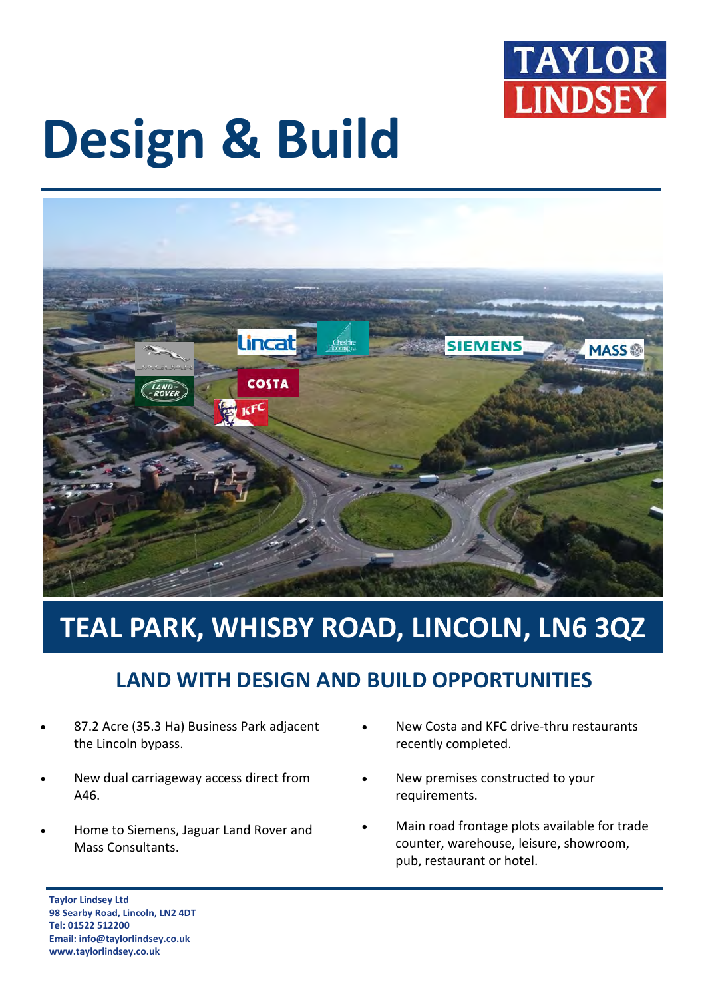

# **Design & Build**



## **TEAL PARK, WHISBY ROAD, LINCOLN, LN6 3QZ**

### **LAND WITH DESIGN AND BUILD OPPORTUNITIES**

- 87.2 Acre (35.3 Ha) Business Park adjacent the Lincoln bypass.
- New dual carriageway access direct from A46.
- Home to Siemens, Jaguar Land Rover and Mass Consultants.
- New Costa and KFC drive-thru restaurants recently completed.
- New premises constructed to your requirements.
- Main road frontage plots available for trade counter, warehouse, leisure, showroom, pub, restaurant or hotel.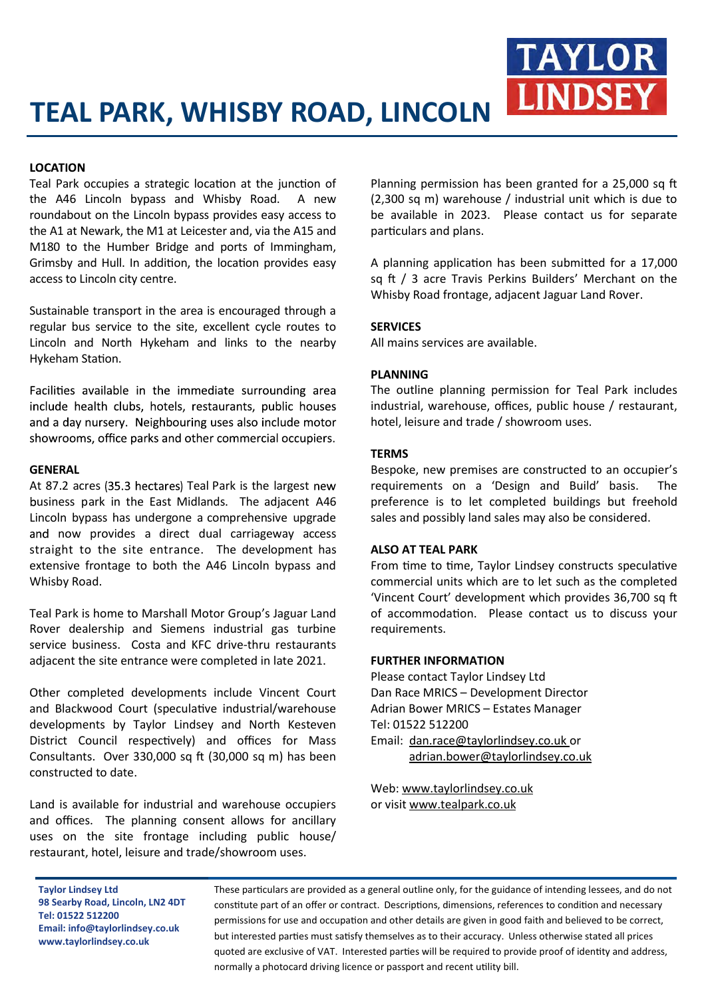#### **LOCATION**

Teal Park occupies a strategic location at the junction of the A46 Lincoln bypass and Whisby Road. A new roundabout on the Lincoln bypass provides easy access to the A1 at Newark, the M1 at Leicester and, via the A15 and M180 to the Humber Bridge and ports of Immingham, Grimsby and Hull. In addition, the location provides easy access to Lincoln city centre.

Sustainable transport in the area is encouraged through a regular bus service to the site, excellent cycle routes to Lincoln and North Hykeham and links to the nearby Hykeham Station.

Facilities available in the immediate surrounding area include health clubs, hotels, restaurants, public houses and a day nursery. Neighbouring uses also include motor showrooms, office parks and other commercial occupiers.

#### **GENERAL**

At 87.2 acres (35.3 hectares) Teal Park is the largest new business park in the East Midlands. The adjacent A46 Lincoln bypass has undergone a comprehensive upgrade and now provides a direct dual carriageway access straight to the site entrance. The development has extensive frontage to both the A46 Lincoln bypass and Whisby Road.

Teal Park is home to Marshall Motor Group's Jaguar Land Rover dealership and Siemens industrial gas turbine service business. Costa and KFC drive-thru restaurants adjacent the site entrance were completed in late 2021.

Other completed developments include Vincent Court and Blackwood Court (speculative industrial/warehouse developments by Taylor Lindsey and North Kesteven District Council respectively) and offices for Mass Consultants. Over 330,000 sq ft (30,000 sq m) has been constructed to date.

Land is available for industrial and warehouse occupiers and offices. The planning consent allows for ancillary uses on the site frontage including public house/ restaurant, hotel, leisure and trade/showroom uses.

Planning permission has been granted for a 25,000 sq ft (2,300 sq m) warehouse / industrial unit which is due to be available in 2023. Please contact us for separate particulars and plans.

**TAYLOR** 

**LINDSEY** 

A planning application has been submitted for a 17,000 sq ft / 3 acre Travis Perkins Builders' Merchant on the Whisby Road frontage, adjacent Jaguar Land Rover.

#### **SERVICES**

All mains services are available.

#### **PLANNING**

The outline planning permission for Teal Park includes industrial, warehouse, offices, public house / restaurant, hotel, leisure and trade / showroom uses.

#### **TERMS**

Bespoke, new premises are constructed to an occupier's requirements on a 'Design and Build' basis. The preference is to let completed buildings but freehold sales and possibly land sales may also be considered.

#### **ALSO AT TEAL PARK**

From time to time, Taylor Lindsey constructs speculative commercial units which are to let such as the completed 'Vincent Court' development which provides 36,700 sq ft of accommodation. Please contact us to discuss your requirements.

#### **FURTHER INFORMATION**

Please contact Taylor Lindsey Ltd Dan Race MRICS – Development Director Adrian Bower MRICS – Estates Manager Tel: 01522 512200 Email: [dan.race@taylorlindsey.co.uk](mailto:dan.race@taylorlindsey.co.uk) or [adrian.bower@taylorlindsey.co.uk](mailto:adrian.bower@taylorlindsey.co.uk)

Web: [www.taylorlindsey.co.uk](http://www.taylorlindsey.co.uk) or visit [www.tealpark.co.uk](http://www.tealpark.co.uk)

**Taylor Lindsey Ltd 98 Searby Road, Lincoln, LN2 4DT Tel: 01522 512200 Email: info@taylorlindsey.co.uk www.taylorlindsey.co.uk**

These particulars are provided as a general outline only, for the guidance of intending lessees, and do not constitute part of an offer or contract. Descriptions, dimensions, references to condition and necessary permissions for use and occupation and other details are given in good faith and believed to be correct, but interested parties must satisfy themselves as to their accuracy. Unless otherwise stated all prices quoted are exclusive of VAT. Interested parties will be required to provide proof of identity and address, normally a photocard driving licence or passport and recent utility bill.